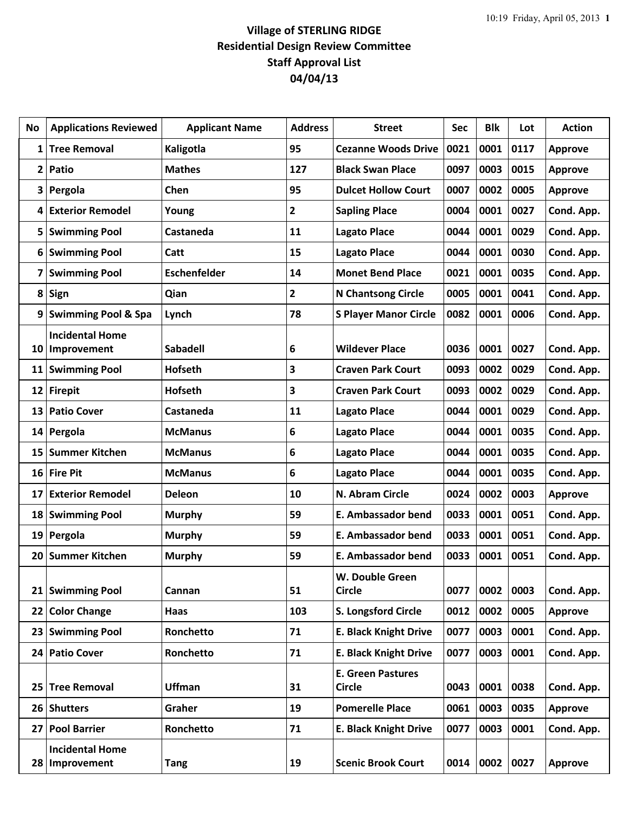## **Village of STERLING RIDGE Residential Design Review Committee Staff Approval List 04/04/13**

| No              | <b>Applications Reviewed</b>          | <b>Applicant Name</b> | <b>Address</b> | <b>Street</b>                             | Sec  | <b>Blk</b> | Lot  | <b>Action</b>  |
|-----------------|---------------------------------------|-----------------------|----------------|-------------------------------------------|------|------------|------|----------------|
| 1               | <b>Tree Removal</b>                   | Kaligotla             | 95             | <b>Cezanne Woods Drive</b>                | 0021 | 0001       | 0117 | <b>Approve</b> |
| $\overline{2}$  | Patio                                 | <b>Mathes</b>         | 127            | <b>Black Swan Place</b>                   | 0097 | 0003       | 0015 | <b>Approve</b> |
| 3               | Pergola                               | Chen                  | 95             | <b>Dulcet Hollow Court</b>                | 0007 | 0002       | 0005 | <b>Approve</b> |
| 4               | <b>Exterior Remodel</b>               | Young                 | $\overline{2}$ | <b>Sapling Place</b>                      | 0004 | 0001       | 0027 | Cond. App.     |
| 5               | <b>Swimming Pool</b>                  | Castaneda             | 11             | <b>Lagato Place</b>                       | 0044 | 0001       | 0029 | Cond. App.     |
| 6               | <b>Swimming Pool</b>                  | Catt                  | 15             | <b>Lagato Place</b>                       | 0044 | 0001       | 0030 | Cond. App.     |
| 7               | <b>Swimming Pool</b>                  | <b>Eschenfelder</b>   | 14             | <b>Monet Bend Place</b>                   | 0021 | 0001       | 0035 | Cond. App.     |
| 8               | Sign                                  | Qian                  | $\overline{2}$ | <b>N Chantsong Circle</b>                 | 0005 | 0001       | 0041 | Cond. App.     |
| 9               | <b>Swimming Pool &amp; Spa</b>        | Lynch                 | 78             | <b>S Player Manor Circle</b>              | 0082 | 0001       | 0006 | Cond. App.     |
|                 | <b>Incidental Home</b>                |                       |                |                                           |      |            |      |                |
| 10              | Improvement                           | <b>Sabadell</b>       | 6              | <b>Wildever Place</b>                     | 0036 | 0001       | 0027 | Cond. App.     |
| 11              | <b>Swimming Pool</b>                  | <b>Hofseth</b>        | 3              | <b>Craven Park Court</b>                  | 0093 | 0002       | 0029 | Cond. App.     |
| 12              | <b>Firepit</b>                        | <b>Hofseth</b>        | 3              | <b>Craven Park Court</b>                  | 0093 | 0002       | 0029 | Cond. App.     |
| 13              | <b>Patio Cover</b>                    | Castaneda             | 11             | <b>Lagato Place</b>                       | 0044 | 0001       | 0029 | Cond. App.     |
| 14              | Pergola                               | <b>McManus</b>        | 6              | <b>Lagato Place</b>                       | 0044 | 0001       | 0035 | Cond. App.     |
| 15              | <b>Summer Kitchen</b>                 | <b>McManus</b>        | 6              | <b>Lagato Place</b>                       | 0044 | 0001       | 0035 | Cond. App.     |
| 16              | <b>Fire Pit</b>                       | <b>McManus</b>        | 6              | <b>Lagato Place</b>                       | 0044 | 0001       | 0035 | Cond. App.     |
| 17              | <b>Exterior Remodel</b>               | <b>Deleon</b>         | 10             | N. Abram Circle                           | 0024 | 0002       | 0003 | Approve        |
| 18              | <b>Swimming Pool</b>                  | <b>Murphy</b>         | 59             | E. Ambassador bend                        | 0033 | 0001       | 0051 | Cond. App.     |
| 19 <sup>1</sup> | Pergola                               | <b>Murphy</b>         | 59             | E. Ambassador bend                        | 0033 | 0001       | 0051 | Cond. App.     |
| 20              | <b>Summer Kitchen</b>                 | <b>Murphy</b>         | 59             | <b>E. Ambassador bend</b>                 | 0033 | 0001       | 0051 | Cond. App.     |
|                 | 21 Swimming Pool                      | Cannan                | 51             | W. Double Green<br><b>Circle</b>          | 0077 | 0002       | 0003 | Cond. App.     |
|                 |                                       |                       |                |                                           |      |            |      |                |
| 22              | <b>Color Change</b>                   | Haas                  | 103            | S. Longsford Circle                       | 0012 | 0002       | 0005 | Approve        |
| 23              | <b>Swimming Pool</b>                  | Ronchetto             | 71             | <b>E. Black Knight Drive</b>              | 0077 | 0003       | 0001 | Cond. App.     |
|                 | 24 Patio Cover                        | Ronchetto             | 71             | <b>E. Black Knight Drive</b>              | 0077 | 0003       | 0001 | Cond. App.     |
| 25              | <b>Tree Removal</b>                   | <b>Uffman</b>         | 31             | <b>E. Green Pastures</b><br><b>Circle</b> | 0043 | 0001       | 0038 | Cond. App.     |
|                 | 26 Shutters                           | Graher                | 19             | <b>Pomerelle Place</b>                    | 0061 | 0003       | 0035 | Approve        |
| 27              | <b>Pool Barrier</b>                   | Ronchetto             | 71             | <b>E. Black Knight Drive</b>              | 0077 | 0003       | 0001 | Cond. App.     |
| 28              | <b>Incidental Home</b><br>Improvement | <b>Tang</b>           | 19             | <b>Scenic Brook Court</b>                 | 0014 | 0002       | 0027 | <b>Approve</b> |